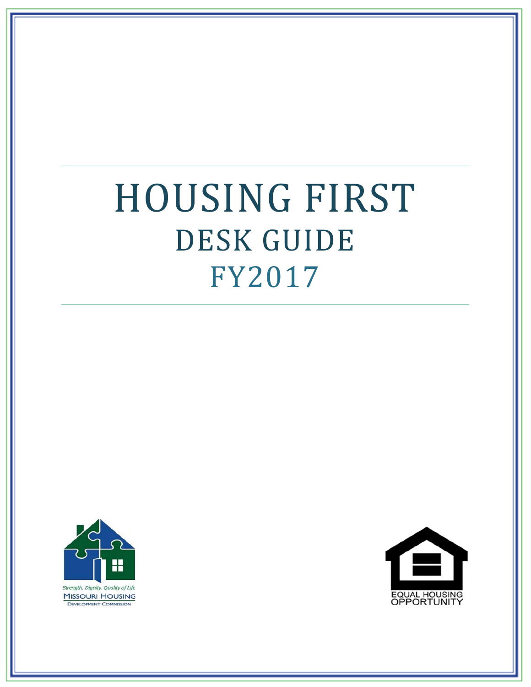# HOUSING FIRST DESK GUIDE FY2017



**MISSOURI HOUSING DEVELOPMENT COMMISSION** 

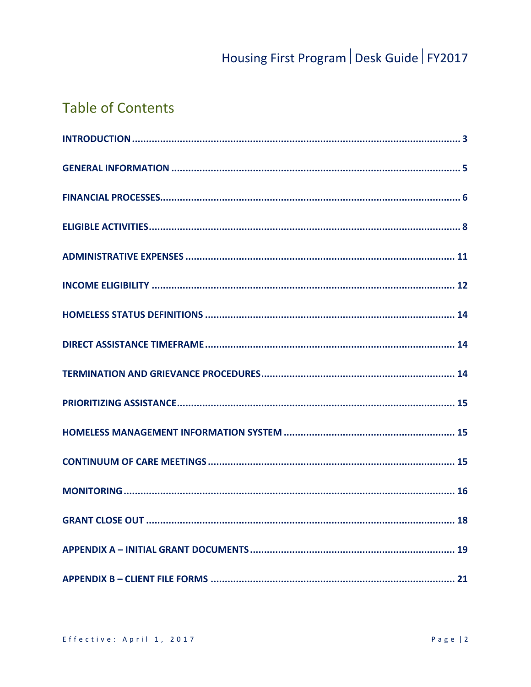# **Table of Contents**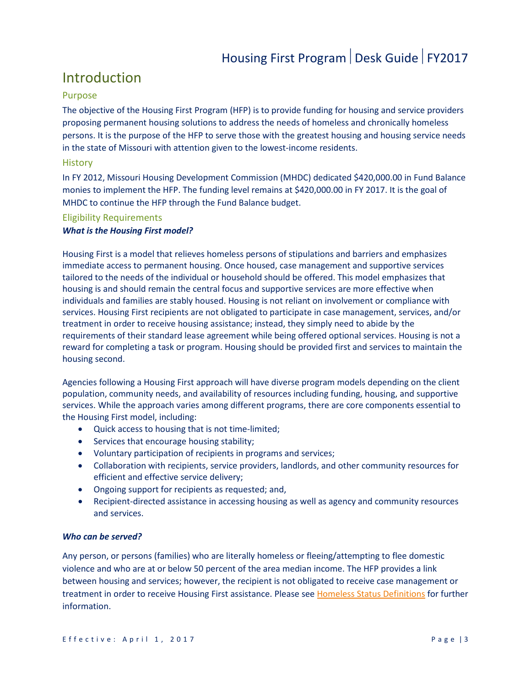### <span id="page-2-0"></span>Introduction

#### Purpose

The objective of the Housing First Program (HFP) is to provide funding for housing and service providers proposing permanent housing solutions to address the needs of homeless and chronically homeless persons. It is the purpose of the HFP to serve those with the greatest housing and housing service needs in the state of Missouri with attention given to the lowest-income residents.

#### **History**

In FY 2012, Missouri Housing Development Commission (MHDC) dedicated \$420,000.00 in Fund Balance monies to implement the HFP. The funding level remains at \$420,000.00 in FY 2017. It is the goal of MHDC to continue the HFP through the Fund Balance budget.

#### Eligibility Requirements

#### *What is the Housing First model?*

Housing First is a model that relieves homeless persons of stipulations and barriers and emphasizes immediate access to permanent housing. Once housed, case management and supportive services tailored to the needs of the individual or household should be offered. This model emphasizes that housing is and should remain the central focus and supportive services are more effective when individuals and families are stably housed. Housing is not reliant on involvement or compliance with services. Housing First recipients are not obligated to participate in case management, services, and/or treatment in order to receive housing assistance; instead, they simply need to abide by the requirements of their standard lease agreement while being offered optional services. Housing is not a reward for completing a task or program. Housing should be provided first and services to maintain the housing second.

Agencies following a Housing First approach will have diverse program models depending on the client population, community needs, and availability of resources including funding, housing, and supportive services. While the approach varies among different programs, there are core components essential to the Housing First model, including:

- Quick access to housing that is not time-limited;
- Services that encourage housing stability;
- Voluntary participation of recipients in programs and services;
- Collaboration with recipients, service providers, landlords, and other community resources for efficient and effective service delivery;
- Ongoing support for recipients as requested; and,
- Recipient-directed assistance in accessing housing as well as agency and community resources and services.

#### *Who can be served?*

Any person, or persons (families) who are literally homeless or fleeing/attempting to flee domestic violence and who are at or below 50 percent of the area median income. The HFP provides a link between housing and services; however, the recipient is not obligated to receive case management or treatment in order to receive Housing First assistance. Please se[e Homeless Status Definitions](#page-13-0) for further information.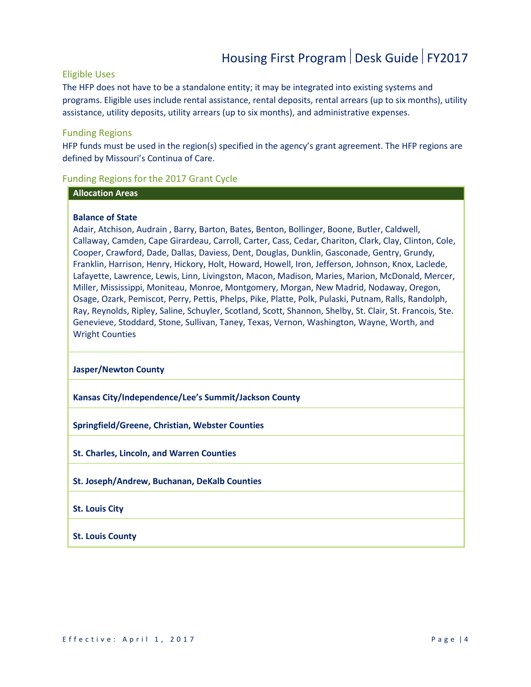#### Eligible Uses

The HFP does not have to be a standalone entity; it may be integrated into existing systems and programs. Eligible uses include rental assistance, rental deposits, rental arrears (up to six months), utility assistance, utility deposits, utility arrears (up to six months), and administrative expenses.

#### Funding Regions

HFP funds must be used in the region(s) specified in the agency's grant agreement. The HFP regions are defined by Missouri's Continua of Care.

#### Funding Regions for the 2017 Grant Cycle

#### **Allocation Areas**

#### **Balance of State**

Adair, Atchison, Audrain , Barry, Barton, Bates, Benton, Bollinger, Boone, Butler, Caldwell, Callaway, Camden, Cape Girardeau, Carroll, Carter, Cass, Cedar, Chariton, Clark, Clay, Clinton, Cole, Cooper, Crawford, Dade, Dallas, Daviess, Dent, Douglas, Dunklin, Gasconade, Gentry, Grundy, Franklin, Harrison, Henry, Hickory, Holt, Howard, Howell, Iron, Jefferson, Johnson, Knox, Laclede, Lafayette, Lawrence, Lewis, Linn, Livingston, Macon, Madison, Maries, Marion, McDonald, Mercer, Miller, Mississippi, Moniteau, Monroe, Montgomery, Morgan, New Madrid, Nodaway, Oregon, Osage, Ozark, Pemiscot, Perry, Pettis, Phelps, Pike, Platte, Polk, Pulaski, Putnam, Ralls, Randolph, Ray, Reynolds, Ripley, Saline, Schuyler, Scotland, Scott, Shannon, Shelby, St. Clair, St. Francois, Ste. Genevieve, Stoddard, Stone, Sullivan, Taney, Texas, Vernon, Washington, Wayne, Worth, and Wright Counties

#### **Jasper/Newton County**

**Kansas City/Independence/Lee's Summit/Jackson County**

**Springfield/Greene, Christian, Webster Counties**

**St. Charles, Lincoln, and Warren Counties**

- **St. Joseph/Andrew, Buchanan, DeKalb Counties**
- **St. Louis City**
- <span id="page-3-0"></span>**St. Louis County**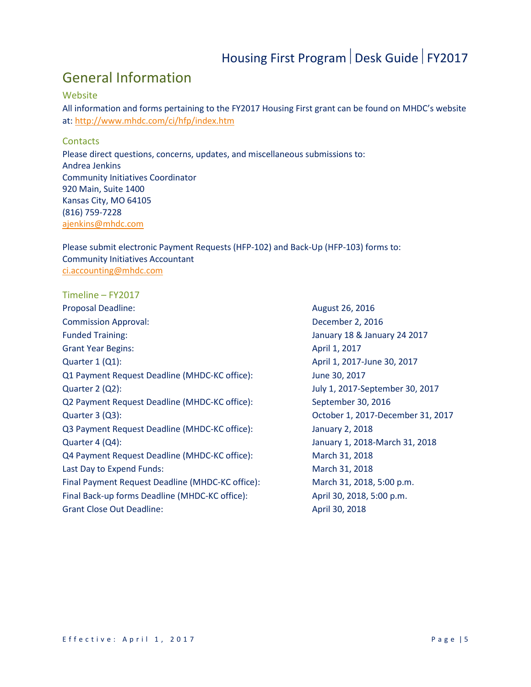### General Information

#### Website

All information and forms pertaining to the FY2017 Housing First grant can be found on MHDC's website at: <http://www.mhdc.com/ci/hfp/index.htm>

#### **Contacts**

Please direct questions, concerns, updates, and miscellaneous submissions to: Andrea Jenkins Community Initiatives Coordinator 920 Main, Suite 1400 Kansas City, MO 64105 (816) 759-7228 [ajenkins@mhdc.com](mailto:jpfliegier@mhdc.com)

Please submit electronic Payment Requests (HFP-102) and Back-Up (HFP-103) forms to: Community Initiatives Accountant [ci.accounting@mhdc.com](mailto:ci.accounting@mhdc.com)

<span id="page-4-1"></span><span id="page-4-0"></span>Timeline – FY2017 Proposal Deadline: August 26, 2016 Commission Approval: December 2, 2016 Funded Training: January 18 & January 24 2017 Grant Year Begins: April 1, 2017 Quarter 1 (Q1): <br>
April 1, 2017-June 30, 2017 Q1 Payment Request Deadline (MHDC-KC office): June 30, 2017 Quarter 2 (Q2): July 1, 2017-September 30, 2017 Q2 Payment Request Deadline (MHDC-KC office): September 30, 2016 Quarter 3 (Q3): October 1, 2017-December 31, 2017 Q3 Payment Request Deadline (MHDC-KC office): January 2, 2018 Quarter 4 (Q4): January 1, 2018-March 31, 2018 Q4 Payment Request Deadline (MHDC-KC office): March 31, 2018 Last Day to Expend Funds: March 31, 2018 Final Payment Request Deadline (MHDC-KC office): March 31, 2018, 5:00 p.m. Final Back-up forms Deadline (MHDC-KC office): April 30, 2018, 5:00 p.m. Grant Close Out Deadline: April 30, 2018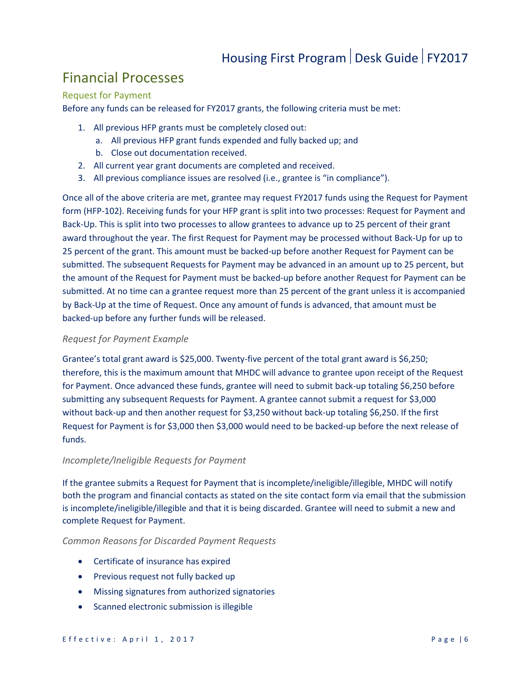### Financial Processes

#### Request for Payment

Before any funds can be released for FY2017 grants, the following criteria must be met:

- 1. All previous HFP grants must be completely closed out:
	- a. All previous HFP grant funds expended and fully backed up; and
	- b. Close out documentation received.
- 2. All current year grant documents are completed and received.
- 3. All previous compliance issues are resolved (i.e., grantee is "in compliance").

Once all of the above criteria are met, grantee may request FY2017 funds using the Request for Payment form (HFP-102). Receiving funds for your HFP grant is split into two processes: Request for Payment and Back-Up. This is split into two processes to allow grantees to advance up to 25 percent of their grant award throughout the year. The first Request for Payment may be processed without Back-Up for up to 25 percent of the grant. This amount must be backed-up before another Request for Payment can be submitted. The subsequent Requests for Payment may be advanced in an amount up to 25 percent, but the amount of the Request for Payment must be backed-up before another Request for Payment can be submitted. At no time can a grantee request more than 25 percent of the grant unless it is accompanied by Back-Up at the time of Request. Once any amount of funds is advanced, that amount must be backed-up before any further funds will be released.

#### *Request for Payment Example*

Grantee's total grant award is \$25,000. Twenty-five percent of the total grant award is \$6,250; therefore, this is the maximum amount that MHDC will advance to grantee upon receipt of the Request for Payment. Once advanced these funds, grantee will need to submit back-up totaling \$6,250 before submitting any subsequent Requests for Payment. A grantee cannot submit a request for \$3,000 without back-up and then another request for \$3,250 without back-up totaling \$6,250. If the first Request for Payment is for \$3,000 then \$3,000 would need to be backed-up before the next release of funds.

#### *Incomplete/Ineligible Requests for Payment*

If the grantee submits a Request for Payment that is incomplete/ineligible/illegible, MHDC will notify both the program and financial contacts as stated on the site contact form via email that the submission is incomplete/ineligible/illegible and that it is being discarded. Grantee will need to submit a new and complete Request for Payment.

#### *Common Reasons for Discarded Payment Requests*

- Certificate of insurance has expired
- Previous request not fully backed up
- Missing signatures from authorized signatories
- Scanned electronic submission is illegible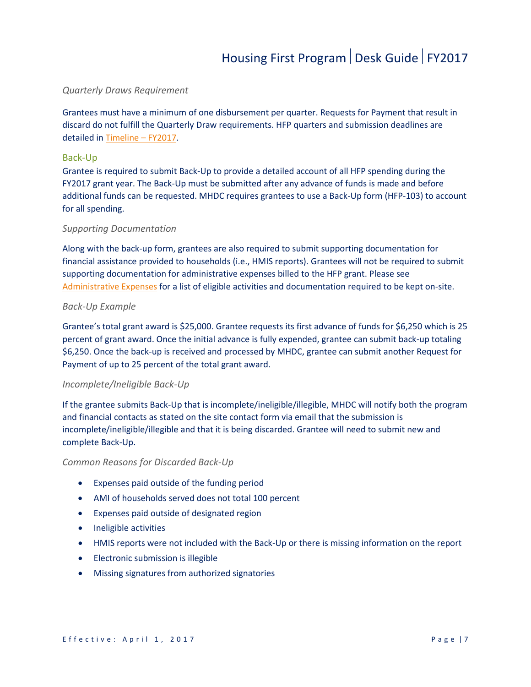#### *Quarterly Draws Requirement*

Grantees must have a minimum of one disbursement per quarter. Requests for Payment that result in discard do not fulfill the Quarterly Draw requirements. HFP quarters and submission deadlines are detailed in [Timeline –](#page-4-1) FY2017.

#### Back-Up

Grantee is required to submit Back-Up to provide a detailed account of all HFP spending during the FY2017 grant year. The Back-Up must be submitted after any advance of funds is made and before additional funds can be requested. MHDC requires grantees to use a Back-Up form (HFP-103) to account for all spending.

#### *Supporting Documentation*

Along with the back-up form, grantees are also required to submit supporting documentation for financial assistance provided to households (i.e., HMIS reports). Grantees will not be required to submit supporting documentation for administrative expenses billed to the HFP grant. Please see [Administrative Expenses](#page-10-0) for a list of eligible activities and documentation required to be kept on-site.

#### *Back-Up Example*

Grantee's total grant award is \$25,000. Grantee requests its first advance of funds for \$6,250 which is 25 percent of grant award. Once the initial advance is fully expended, grantee can submit back-up totaling \$6,250. Once the back-up is received and processed by MHDC, grantee can submit another Request for Payment of up to 25 percent of the total grant award.

#### *Incomplete/Ineligible Back-Up*

If the grantee submits Back-Up that is incomplete/ineligible/illegible, MHDC will notify both the program and financial contacts as stated on the site contact form via email that the submission is incomplete/ineligible/illegible and that it is being discarded. Grantee will need to submit new and complete Back-Up.

#### *Common Reasons for Discarded Back-Up*

- Expenses paid outside of the funding period
- AMI of households served does not total 100 percent
- Expenses paid outside of designated region
- Ineligible activities
- HMIS reports were not included with the Back-Up or there is missing information on the report
- Electronic submission is illegible
- Missing signatures from authorized signatories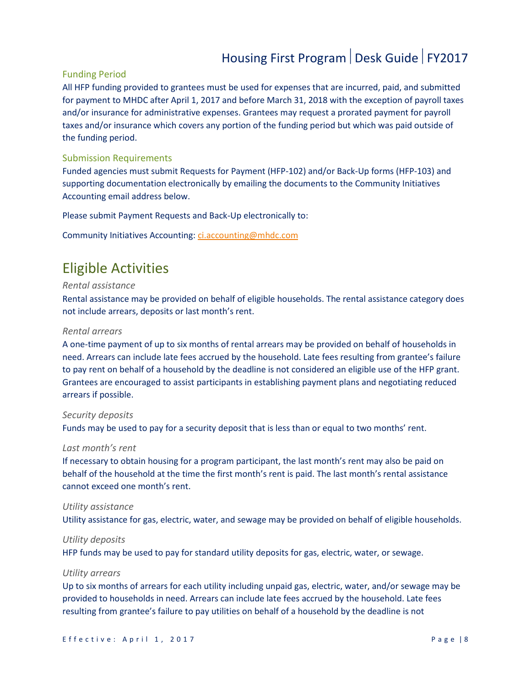#### Funding Period

All HFP funding provided to grantees must be used for expenses that are incurred, paid, and submitted for payment to MHDC after April 1, 2017 and before March 31, 2018 with the exception of payroll taxes and/or insurance for administrative expenses. Grantees may request a prorated payment for payroll taxes and/or insurance which covers any portion of the funding period but which was paid outside of the funding period.

#### Submission Requirements

Funded agencies must submit Requests for Payment (HFP-102) and/or Back-Up forms (HFP-103) and supporting documentation electronically by emailing the documents to the Community Initiatives Accounting email address below.

Please submit Payment Requests and Back-Up electronically to:

<span id="page-7-0"></span>Community Initiatives Accounting: [ci.accounting@mhdc.com](mailto:ci.accounting@mhdc.com)

### Eligible Activities

#### *Rental assistance*

Rental assistance may be provided on behalf of eligible households. The rental assistance category does not include arrears, deposits or last month's rent.

#### *Rental arrears*

A one-time payment of up to six months of rental arrears may be provided on behalf of households in need. Arrears can include late fees accrued by the household. Late fees resulting from grantee's failure to pay rent on behalf of a household by the deadline is not considered an eligible use of the HFP grant. Grantees are encouraged to assist participants in establishing payment plans and negotiating reduced arrears if possible.

#### *Security deposits*

Funds may be used to pay for a security deposit that is less than or equal to two months' rent.

#### *Last month's rent*

If necessary to obtain housing for a program participant, the last month's rent may also be paid on behalf of the household at the time the first month's rent is paid. The last month's rental assistance cannot exceed one month's rent.

#### *Utility assistance*

Utility assistance for gas, electric, water, and sewage may be provided on behalf of eligible households.

#### *Utility deposits*

HFP funds may be used to pay for standard utility deposits for gas, electric, water, or sewage.

#### *Utility arrears*

Up to six months of arrears for each utility including unpaid gas, electric, water, and/or sewage may be provided to households in need. Arrears can include late fees accrued by the household. Late fees resulting from grantee's failure to pay utilities on behalf of a household by the deadline is not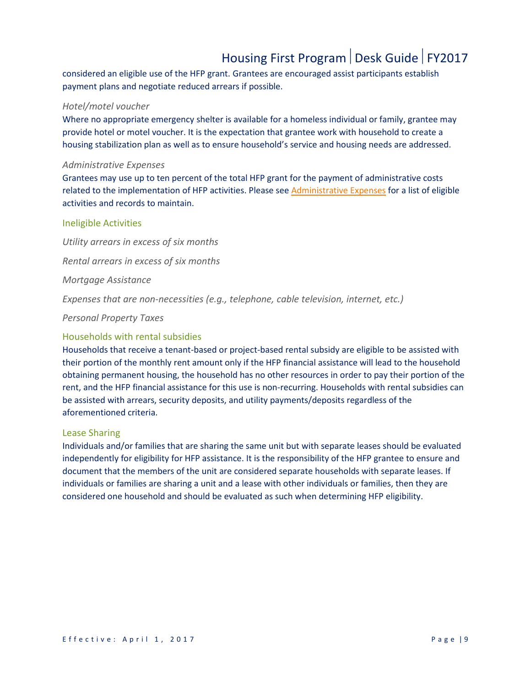considered an eligible use of the HFP grant. Grantees are encouraged assist participants establish payment plans and negotiate reduced arrears if possible.

#### *Hotel/motel voucher*

Where no appropriate emergency shelter is available for a homeless individual or family, grantee may provide hotel or motel voucher. It is the expectation that grantee work with household to create a housing stabilization plan as well as to ensure household's service and housing needs are addressed.

#### *Administrative Expenses*

Grantees may use up to ten percent of the total HFP grant for the payment of administrative costs related to the implementation of HFP activities. Please see [Administrative Expenses](#page-10-0) for a list of eligible activities and records to maintain.

#### Ineligible Activities

*Utility arrears in excess of six months*

*Rental arrears in excess of six months*

*Mortgage Assistance*

*Expenses that are non-necessities (e.g., telephone, cable television, internet, etc.)*

*Personal Property Taxes*

#### Households with rental subsidies

Households that receive a tenant-based or project-based rental subsidy are eligible to be assisted with their portion of the monthly rent amount only if the HFP financial assistance will lead to the household obtaining permanent housing, the household has no other resources in order to pay their portion of the rent, and the HFP financial assistance for this use is non-recurring. Households with rental subsidies can be assisted with arrears, security deposits, and utility payments/deposits regardless of the aforementioned criteria.

#### Lease Sharing

Individuals and/or families that are sharing the same unit but with separate leases should be evaluated independently for eligibility for HFP assistance. It is the responsibility of the HFP grantee to ensure and document that the members of the unit are considered separate households with separate leases. If individuals or families are sharing a unit and a lease with other individuals or families, then they are considered one household and should be evaluated as such when determining HFP eligibility.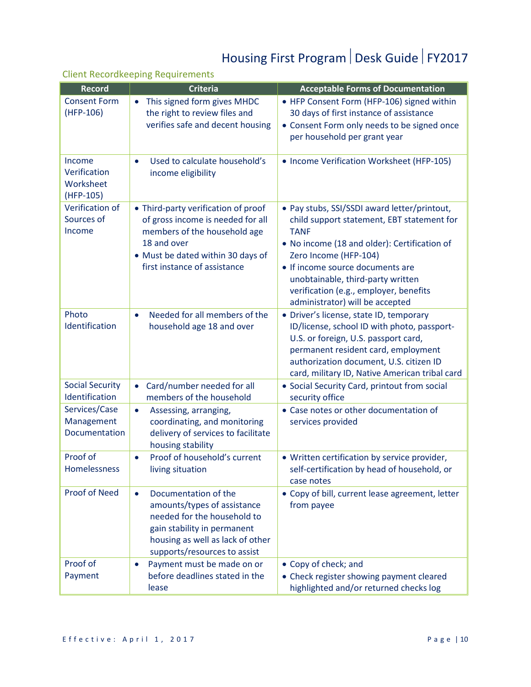#### Client Recordkeeping Requirements

| <b>Record</b>                                    | <b>Criteria</b>                                                                                                                                                                                    | <b>Acceptable Forms of Documentation</b>                                                                                                                                                                                                                                                                                                 |
|--------------------------------------------------|----------------------------------------------------------------------------------------------------------------------------------------------------------------------------------------------------|------------------------------------------------------------------------------------------------------------------------------------------------------------------------------------------------------------------------------------------------------------------------------------------------------------------------------------------|
| <b>Consent Form</b><br>(HFP-106)                 | This signed form gives MHDC<br>$\bullet$<br>the right to review files and<br>verifies safe and decent housing                                                                                      | • HFP Consent Form (HFP-106) signed within<br>30 days of first instance of assistance<br>• Consent Form only needs to be signed once<br>per household per grant year                                                                                                                                                                     |
| Income<br>Verification<br>Worksheet<br>(HFP-105) | Used to calculate household's<br>$\bullet$<br>income eligibility                                                                                                                                   | • Income Verification Worksheet (HFP-105)                                                                                                                                                                                                                                                                                                |
| Verification of<br>Sources of<br>Income          | • Third-party verification of proof<br>of gross income is needed for all<br>members of the household age<br>18 and over<br>• Must be dated within 30 days of<br>first instance of assistance       | • Pay stubs, SSI/SSDI award letter/printout,<br>child support statement, EBT statement for<br><b>TANF</b><br>• No income (18 and older): Certification of<br>Zero Income (HFP-104)<br>• If income source documents are<br>unobtainable, third-party written<br>verification (e.g., employer, benefits<br>administrator) will be accepted |
| Photo<br>Identification                          | Needed for all members of the<br>$\bullet$<br>household age 18 and over                                                                                                                            | • Driver's license, state ID, temporary<br>ID/license, school ID with photo, passport-<br>U.S. or foreign, U.S. passport card,<br>permanent resident card, employment<br>authorization document, U.S. citizen ID<br>card, military ID, Native American tribal card                                                                       |
| <b>Social Security</b><br>Identification         | Card/number needed for all<br>$\bullet$<br>members of the household                                                                                                                                | • Social Security Card, printout from social<br>security office                                                                                                                                                                                                                                                                          |
| Services/Case<br>Management<br>Documentation     | Assessing, arranging,<br>$\bullet$<br>coordinating, and monitoring<br>delivery of services to facilitate<br>housing stability                                                                      | • Case notes or other documentation of<br>services provided                                                                                                                                                                                                                                                                              |
| Proof of<br>Homelessness                         | Proof of household's current<br>$\bullet$<br>living situation                                                                                                                                      | • Written certification by service provider,<br>self-certification by head of household, or<br>case notes                                                                                                                                                                                                                                |
| <b>Proof of Need</b>                             | Documentation of the<br>$\bullet$<br>amounts/types of assistance<br>needed for the household to<br>gain stability in permanent<br>housing as well as lack of other<br>supports/resources to assist | • Copy of bill, current lease agreement, letter<br>from payee                                                                                                                                                                                                                                                                            |
| Proof of<br>Payment                              | Payment must be made on or<br>$\bullet$<br>before deadlines stated in the<br>lease                                                                                                                 | • Copy of check; and<br>• Check register showing payment cleared<br>highlighted and/or returned checks log                                                                                                                                                                                                                               |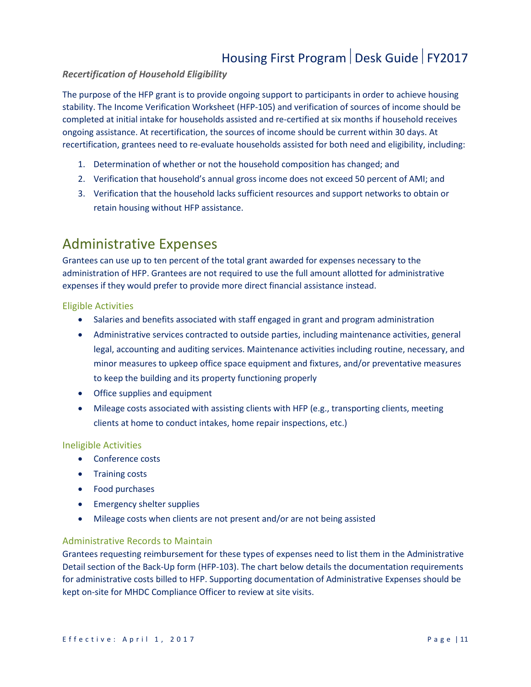#### *Recertification of Household Eligibility*

The purpose of the HFP grant is to provide ongoing support to participants in order to achieve housing stability. The Income Verification Worksheet (HFP-105) and verification of sources of income should be completed at initial intake for households assisted and re-certified at six months if household receives ongoing assistance. At recertification, the sources of income should be current within 30 days. At recertification, grantees need to re-evaluate households assisted for both need and eligibility, including:

- 1. Determination of whether or not the household composition has changed; and
- 2. Verification that household's annual gross income does not exceed 50 percent of AMI; and
- 3. Verification that the household lacks sufficient resources and support networks to obtain or retain housing without HFP assistance.

### <span id="page-10-0"></span>Administrative Expenses

Grantees can use up to ten percent of the total grant awarded for expenses necessary to the administration of HFP. Grantees are not required to use the full amount allotted for administrative expenses if they would prefer to provide more direct financial assistance instead.

#### Eligible Activities

- Salaries and benefits associated with staff engaged in grant and program administration
- Administrative services contracted to outside parties, including maintenance activities, general legal, accounting and auditing services. Maintenance activities including routine, necessary, and minor measures to upkeep office space equipment and fixtures, and/or preventative measures to keep the building and its property functioning properly
- Office supplies and equipment
- Mileage costs associated with assisting clients with HFP (e.g., transporting clients, meeting clients at home to conduct intakes, home repair inspections, etc.)

#### Ineligible Activities

- Conference costs
- Training costs
- Food purchases
- Emergency shelter supplies
- Mileage costs when clients are not present and/or are not being assisted

#### Administrative Records to Maintain

Grantees requesting reimbursement for these types of expenses need to list them in the Administrative Detail section of the Back-Up form (HFP-103). The chart below details the documentation requirements for administrative costs billed to HFP. Supporting documentation of Administrative Expenses should be kept on-site for MHDC Compliance Officer to review at site visits.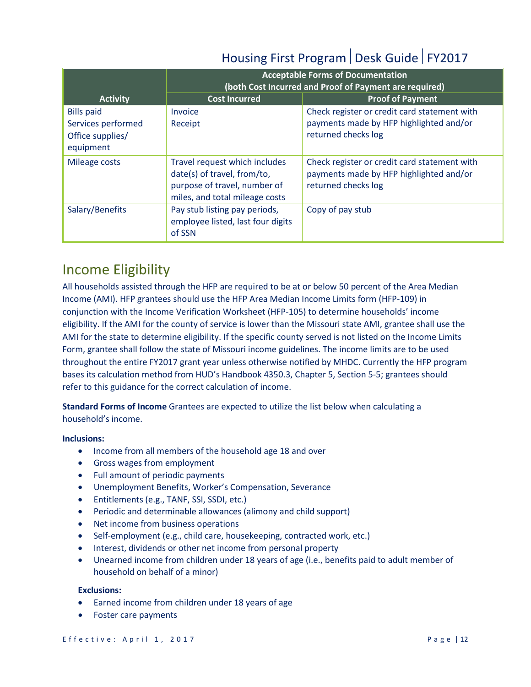|                                                                          |                                                                                                                                | <b>Acceptable Forms of Documentation</b><br>(both Cost Incurred and Proof of Payment are required)             |
|--------------------------------------------------------------------------|--------------------------------------------------------------------------------------------------------------------------------|----------------------------------------------------------------------------------------------------------------|
| <b>Activity</b>                                                          | <b>Cost Incurred</b>                                                                                                           | <b>Proof of Payment</b>                                                                                        |
| <b>Bills paid</b><br>Services performed<br>Office supplies/<br>equipment | <b>Invoice</b><br>Receipt                                                                                                      | Check register or credit card statement with<br>payments made by HFP highlighted and/or<br>returned checks log |
| Mileage costs                                                            | Travel request which includes<br>date(s) of travel, from/to,<br>purpose of travel, number of<br>miles, and total mileage costs | Check register or credit card statement with<br>payments made by HFP highlighted and/or<br>returned checks log |
| Salary/Benefits                                                          | Pay stub listing pay periods,<br>employee listed, last four digits<br>of SSN                                                   | Copy of pay stub                                                                                               |

### <span id="page-11-0"></span>Income Eligibility

All households assisted through the HFP are required to be at or below 50 percent of the Area Median Income (AMI). HFP grantees should use the HFP Area Median Income Limits form (HFP-109) in conjunction with the Income Verification Worksheet (HFP-105) to determine households' income eligibility. If the AMI for the county of service is lower than the Missouri state AMI, grantee shall use the AMI for the state to determine eligibility. If the specific county served is not listed on the Income Limits Form, grantee shall follow the state of Missouri income guidelines. The income limits are to be used throughout the entire FY2017 grant year unless otherwise notified by MHDC. Currently the HFP program bases its calculation method from HUD's Handbook 4350.3, Chapter 5, Section 5-5; grantees should refer to this guidance for the correct calculation of income.

**Standard Forms of Income** Grantees are expected to utilize the list below when calculating a household's income.

#### **Inclusions:**

- Income from all members of the household age 18 and over
- Gross wages from employment
- Full amount of periodic payments
- Unemployment Benefits, Worker's Compensation, Severance
- Entitlements (e.g., TANF, SSI, SSDI, etc.)
- Periodic and determinable allowances (alimony and child support)
- Net income from business operations
- Self-employment (e.g., child care, housekeeping, contracted work, etc.)
- Interest, dividends or other net income from personal property
- Unearned income from children under 18 years of age (i.e., benefits paid to adult member of household on behalf of a minor)

#### **Exclusions:**

- Earned income from children under 18 years of age
- Foster care payments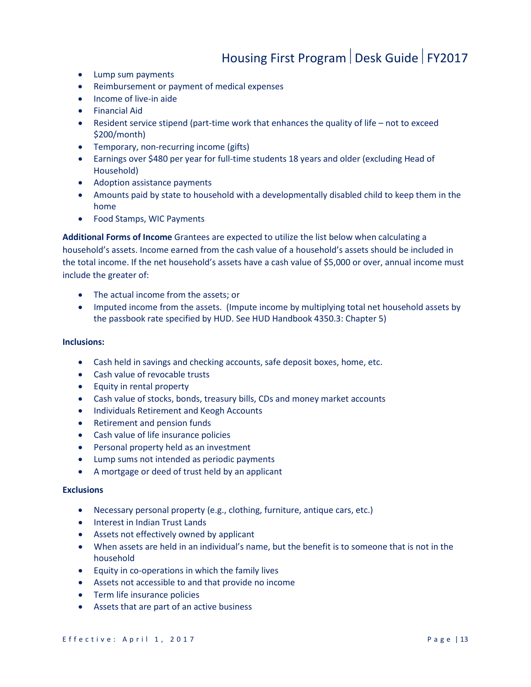- Lump sum payments
- Reimbursement or payment of medical expenses
- Income of live-in aide
- Financial Aid
- Resident service stipend (part-time work that enhances the quality of life not to exceed \$200/month)
- Temporary, non-recurring income (gifts)
- Earnings over \$480 per year for full-time students 18 years and older (excluding Head of Household)
- Adoption assistance payments
- Amounts paid by state to household with a developmentally disabled child to keep them in the home
- Food Stamps, WIC Payments

**Additional Forms of Income** Grantees are expected to utilize the list below when calculating a household's assets. Income earned from the cash value of a household's assets should be included in the total income. If the net household's assets have a cash value of \$5,000 or over, annual income must include the greater of:

- The actual income from the assets; or
- Imputed income from the assets. (Impute income by multiplying total net household assets by the passbook rate specified by HUD. See HUD Handbook 4350.3: Chapter 5)

#### **Inclusions:**

- Cash held in savings and checking accounts, safe deposit boxes, home, etc.
- Cash value of revocable trusts
- Equity in rental property
- Cash value of stocks, bonds, treasury bills, CDs and money market accounts
- Individuals Retirement and Keogh Accounts
- Retirement and pension funds
- Cash value of life insurance policies
- Personal property held as an investment
- Lump sums not intended as periodic payments
- A mortgage or deed of trust held by an applicant

#### **Exclusions**

- Necessary personal property (e.g., clothing, furniture, antique cars, etc.)
- Interest in Indian Trust Lands
- Assets not effectively owned by applicant
- When assets are held in an individual's name, but the benefit is to someone that is not in the household
- Equity in co-operations in which the family lives
- Assets not accessible to and that provide no income
- Term life insurance policies
- Assets that are part of an active business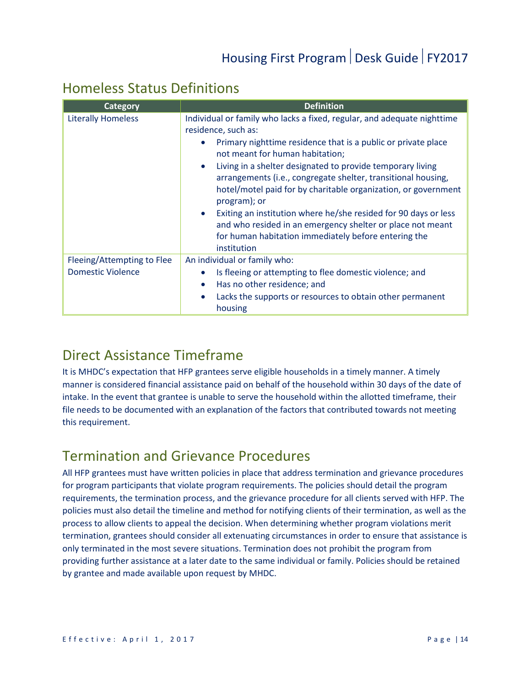### <span id="page-13-0"></span>Homeless Status Definitions

| Category                   | <b>Definition</b>                                                                                                                                                                                                          |
|----------------------------|----------------------------------------------------------------------------------------------------------------------------------------------------------------------------------------------------------------------------|
| <b>Literally Homeless</b>  | Individual or family who lacks a fixed, regular, and adequate nighttime<br>residence, such as:                                                                                                                             |
|                            | Primary nighttime residence that is a public or private place<br>not meant for human habitation;                                                                                                                           |
|                            | Living in a shelter designated to provide temporary living<br>$\bullet$<br>arrangements (i.e., congregate shelter, transitional housing,<br>hotel/motel paid for by charitable organization, or government<br>program); or |
|                            | Exiting an institution where he/she resided for 90 days or less<br>$\bullet$<br>and who resided in an emergency shelter or place not meant<br>for human habitation immediately before entering the<br>institution          |
| Fleeing/Attempting to Flee | An individual or family who:                                                                                                                                                                                               |
| <b>Domestic Violence</b>   | Is fleeing or attempting to flee domestic violence; and<br>$\bullet$                                                                                                                                                       |
|                            | Has no other residence; and<br>$\bullet$                                                                                                                                                                                   |
|                            | Lacks the supports or resources to obtain other permanent<br>$\bullet$<br>housing                                                                                                                                          |

### <span id="page-13-1"></span>Direct Assistance Timeframe

It is MHDC's expectation that HFP grantees serve eligible households in a timely manner. A timely manner is considered financial assistance paid on behalf of the household within 30 days of the date of intake. In the event that grantee is unable to serve the household within the allotted timeframe, their file needs to be documented with an explanation of the factors that contributed towards not meeting this requirement.

### <span id="page-13-2"></span>Termination and Grievance Procedures

All HFP grantees must have written policies in place that address termination and grievance procedures for program participants that violate program requirements. The policies should detail the program requirements, the termination process, and the grievance procedure for all clients served with HFP. The policies must also detail the timeline and method for notifying clients of their termination, as well as the process to allow clients to appeal the decision. When determining whether program violations merit termination, grantees should consider all extenuating circumstances in order to ensure that assistance is only terminated in the most severe situations. Termination does not prohibit the program from providing further assistance at a later date to the same individual or family. Policies should be retained by grantee and made available upon request by MHDC.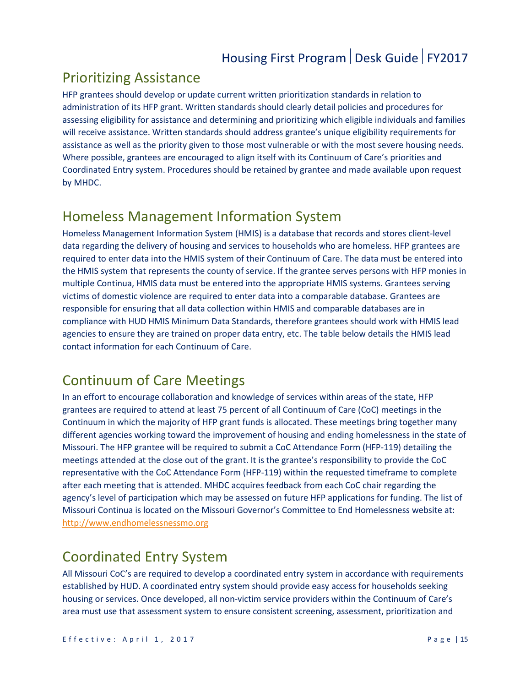### <span id="page-14-0"></span>Prioritizing Assistance

HFP grantees should develop or update current written prioritization standards in relation to administration of its HFP grant. Written standards should clearly detail policies and procedures for assessing eligibility for assistance and determining and prioritizing which eligible individuals and families will receive assistance. Written standards should address grantee's unique eligibility requirements for assistance as well as the priority given to those most vulnerable or with the most severe housing needs. Where possible, grantees are encouraged to align itself with its Continuum of Care's priorities and Coordinated Entry system. Procedures should be retained by grantee and made available upon request by MHDC.

### <span id="page-14-1"></span>Homeless Management Information System

Homeless Management Information System (HMIS) is a database that records and stores client-level data regarding the delivery of housing and services to households who are homeless. HFP grantees are required to enter data into the HMIS system of their Continuum of Care. The data must be entered into the HMIS system that represents the county of service. If the grantee serves persons with HFP monies in multiple Continua, HMIS data must be entered into the appropriate HMIS systems. Grantees serving victims of domestic violence are required to enter data into a comparable database. Grantees are responsible for ensuring that all data collection within HMIS and comparable databases are in compliance with HUD HMIS Minimum Data Standards, therefore grantees should work with HMIS lead agencies to ensure they are trained on proper data entry, etc. The table below details the HMIS lead contact information for each Continuum of Care.

# <span id="page-14-2"></span>Continuum of Care Meetings

In an effort to encourage collaboration and knowledge of services within areas of the state, HFP grantees are required to attend at least 75 percent of all Continuum of Care (CoC) meetings in the Continuum in which the majority of HFP grant funds is allocated. These meetings bring together many different agencies working toward the improvement of housing and ending homelessness in the state of Missouri. The HFP grantee will be required to submit a CoC Attendance Form (HFP-119) detailing the meetings attended at the close out of the grant. It is the grantee's responsibility to provide the CoC representative with the CoC Attendance Form (HFP-119) within the requested timeframe to complete after each meeting that is attended. MHDC acquires feedback from each CoC chair regarding the agency's level of participation which may be assessed on future HFP applications for funding. The list of Missouri Continua is located on the Missouri Governor's Committee to End Homelessness website at: [http://www.endhomelessnessmo.org](http://www.endhomelessnessmo.org/)

### Coordinated Entry System

All Missouri CoC's are required to develop a coordinated entry system in accordance with requirements established by HUD. A coordinated entry system should provide easy access for households seeking housing or services. Once developed, all non-victim service providers within the Continuum of Care's area must use that assessment system to ensure consistent screening, assessment, prioritization and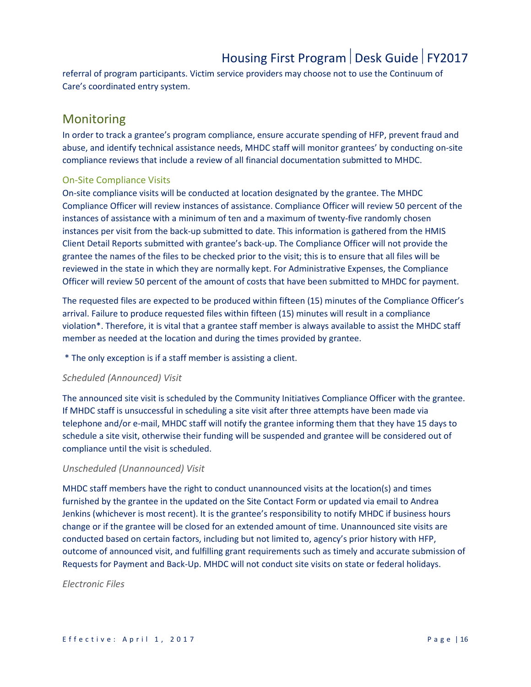referral of program participants. Victim service providers may choose not to use the Continuum of Care's coordinated entry system.

### <span id="page-15-0"></span>Monitoring

In order to track a grantee's program compliance, ensure accurate spending of HFP, prevent fraud and abuse, and identify technical assistance needs, MHDC staff will monitor grantees' by conducting on-site compliance reviews that include a review of all financial documentation submitted to MHDC.

#### On-Site Compliance Visits

On-site compliance visits will be conducted at location designated by the grantee. The MHDC Compliance Officer will review instances of assistance. Compliance Officer will review 50 percent of the instances of assistance with a minimum of ten and a maximum of twenty-five randomly chosen instances per visit from the back-up submitted to date. This information is gathered from the HMIS Client Detail Reports submitted with grantee's back-up. The Compliance Officer will not provide the grantee the names of the files to be checked prior to the visit; this is to ensure that all files will be reviewed in the state in which they are normally kept. For Administrative Expenses, the Compliance Officer will review 50 percent of the amount of costs that have been submitted to MHDC for payment.

The requested files are expected to be produced within fifteen (15) minutes of the Compliance Officer's arrival. Failure to produce requested files within fifteen (15) minutes will result in a compliance violation\*. Therefore, it is vital that a grantee staff member is always available to assist the MHDC staff member as needed at the location and during the times provided by grantee.

\* The only exception is if a staff member is assisting a client.

#### *Scheduled (Announced) Visit*

The announced site visit is scheduled by the Community Initiatives Compliance Officer with the grantee. If MHDC staff is unsuccessful in scheduling a site visit after three attempts have been made via telephone and/or e-mail, MHDC staff will notify the grantee informing them that they have 15 days to schedule a site visit, otherwise their funding will be suspended and grantee will be considered out of compliance until the visit is scheduled.

#### *Unscheduled (Unannounced) Visit*

MHDC staff members have the right to conduct unannounced visits at the location(s) and times furnished by the grantee in the updated on the Site Contact Form or updated via email to Andrea Jenkins (whichever is most recent). It is the grantee's responsibility to notify MHDC if business hours change or if the grantee will be closed for an extended amount of time. Unannounced site visits are conducted based on certain factors, including but not limited to, agency's prior history with HFP, outcome of announced visit, and fulfilling grant requirements such as timely and accurate submission of Requests for Payment and Back-Up. MHDC will not conduct site visits on state or federal holidays.

#### *Electronic Files*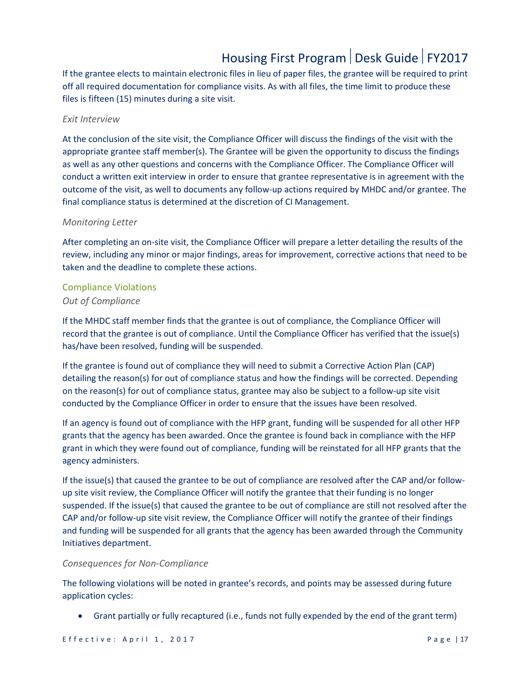If the grantee elects to maintain electronic files in lieu of paper files, the grantee will be required to print off all required documentation for compliance visits. As with all files, the time limit to produce these files is fifteen (15) minutes during a site visit.

#### *Exit Interview*

At the conclusion of the site visit, the Compliance Officer will discuss the findings of the visit with the appropriate grantee staff member(s). The Grantee will be given the opportunity to discuss the findings as well as any other questions and concerns with the Compliance Officer. The Compliance Officer will conduct a written exit interview in order to ensure that grantee representative is in agreement with the outcome of the visit, as well to documents any follow-up actions required by MHDC and/or grantee. The final compliance status is determined at the discretion of CI Management.

#### *Monitoring Letter*

After completing an on-site visit, the Compliance Officer will prepare a letter detailing the results of the review, including any minor or major findings, areas for improvement, corrective actions that need to be taken and the deadline to complete these actions.

#### Compliance Violations

#### *Out of Compliance*

If the MHDC staff member finds that the grantee is out of compliance, the Compliance Officer will record that the grantee is out of compliance. Until the Compliance Officer has verified that the issue(s) has/have been resolved, funding will be suspended.

If the grantee is found out of compliance they will need to submit a Corrective Action Plan (CAP) detailing the reason(s) for out of compliance status and how the findings will be corrected. Depending on the reason(s) for out of compliance status, grantee may also be subject to a follow-up site visit conducted by the Compliance Officer in order to ensure that the issues have been resolved.

If an agency is found out of compliance with the HFP grant, funding will be suspended for all other HFP grants that the agency has been awarded. Once the grantee is found back in compliance with the HFP grant in which they were found out of compliance, funding will be reinstated for all HFP grants that the agency administers.

If the issue(s) that caused the grantee to be out of compliance are resolved after the CAP and/or followup site visit review, the Compliance Officer will notify the grantee that their funding is no longer suspended. If the issue(s) that caused the grantee to be out of compliance are still not resolved after the CAP and/or follow-up site visit review, the Compliance Officer will notify the grantee of their findings and funding will be suspended for all grants that the agency has been awarded through the Community Initiatives department.

#### *Consequences for Non-Compliance*

The following violations will be noted in grantee's records, and points may be assessed during future application cycles:

• Grant partially or fully recaptured (i.e., funds not fully expended by the end of the grant term)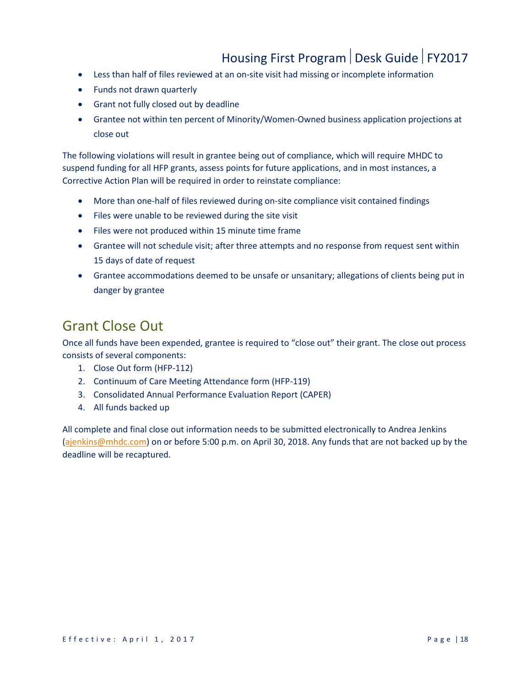- Less than half of files reviewed at an on-site visit had missing or incomplete information
- Funds not drawn quarterly
- Grant not fully closed out by deadline
- Grantee not within ten percent of Minority/Women-Owned business application projections at close out

The following violations will result in grantee being out of compliance, which will require MHDC to suspend funding for all HFP grants, assess points for future applications, and in most instances, a Corrective Action Plan will be required in order to reinstate compliance:

- More than one-half of files reviewed during on-site compliance visit contained findings
- Files were unable to be reviewed during the site visit
- Files were not produced within 15 minute time frame
- Grantee will not schedule visit; after three attempts and no response from request sent within 15 days of date of request
- Grantee accommodations deemed to be unsafe or unsanitary; allegations of clients being put in danger by grantee

### <span id="page-17-0"></span>Grant Close Out

Once all funds have been expended, grantee is required to "close out" their grant. The close out process consists of several components:

- 1. Close Out form (HFP-112)
- 2. Continuum of Care Meeting Attendance form (HFP-119)
- 3. Consolidated Annual Performance Evaluation Report (CAPER)
- 4. All funds backed up

All complete and final close out information needs to be submitted electronically to Andrea Jenkins [\(ajenkins@mhdc.com\)](mailto:jpfliegier@mhdc.com) on or before 5:00 p.m. on April 30, 2018. Any funds that are not backed up by the deadline will be recaptured.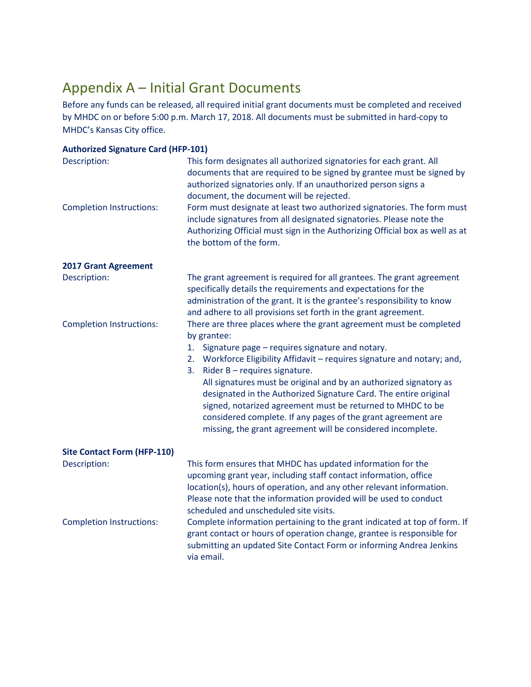### <span id="page-18-0"></span>Appendix A – Initial Grant Documents

Before any funds can be released, all required initial grant documents must be completed and received by MHDC on or before 5:00 p.m. March 17, 2018. All documents must be submitted in hard-copy to MHDC's Kansas City office.

| <b>Authorized Signature Card (HFP-101)</b>      |                                                                                                                                                                                                                                                                                                                                                                                                                                                                                                                                                                                                        |
|-------------------------------------------------|--------------------------------------------------------------------------------------------------------------------------------------------------------------------------------------------------------------------------------------------------------------------------------------------------------------------------------------------------------------------------------------------------------------------------------------------------------------------------------------------------------------------------------------------------------------------------------------------------------|
| Description:                                    | This form designates all authorized signatories for each grant. All<br>documents that are required to be signed by grantee must be signed by<br>authorized signatories only. If an unauthorized person signs a<br>document, the document will be rejected.                                                                                                                                                                                                                                                                                                                                             |
| <b>Completion Instructions:</b>                 | Form must designate at least two authorized signatories. The form must<br>include signatures from all designated signatories. Please note the<br>Authorizing Official must sign in the Authorizing Official box as well as at<br>the bottom of the form.                                                                                                                                                                                                                                                                                                                                               |
| <b>2017 Grant Agreement</b>                     |                                                                                                                                                                                                                                                                                                                                                                                                                                                                                                                                                                                                        |
| Description:                                    | The grant agreement is required for all grantees. The grant agreement<br>specifically details the requirements and expectations for the<br>administration of the grant. It is the grantee's responsibility to know<br>and adhere to all provisions set forth in the grant agreement.                                                                                                                                                                                                                                                                                                                   |
| <b>Completion Instructions:</b>                 | There are three places where the grant agreement must be completed<br>by grantee:<br>Signature page - requires signature and notary.<br>1.<br>Workforce Eligibility Affidavit - requires signature and notary; and,<br>2.<br>Rider B - requires signature.<br>3.<br>All signatures must be original and by an authorized signatory as<br>designated in the Authorized Signature Card. The entire original<br>signed, notarized agreement must be returned to MHDC to be<br>considered complete. If any pages of the grant agreement are<br>missing, the grant agreement will be considered incomplete. |
| <b>Site Contact Form (HFP-110)</b>              |                                                                                                                                                                                                                                                                                                                                                                                                                                                                                                                                                                                                        |
| Description:<br><b>Completion Instructions:</b> | This form ensures that MHDC has updated information for the<br>upcoming grant year, including staff contact information, office<br>location(s), hours of operation, and any other relevant information.<br>Please note that the information provided will be used to conduct<br>scheduled and unscheduled site visits.<br>Complete information pertaining to the grant indicated at top of form. If<br>grant contact or hours of operation change, grantee is responsible for<br>submitting an updated Site Contact Form or informing Andrea Jenkins<br>via email.                                     |
|                                                 |                                                                                                                                                                                                                                                                                                                                                                                                                                                                                                                                                                                                        |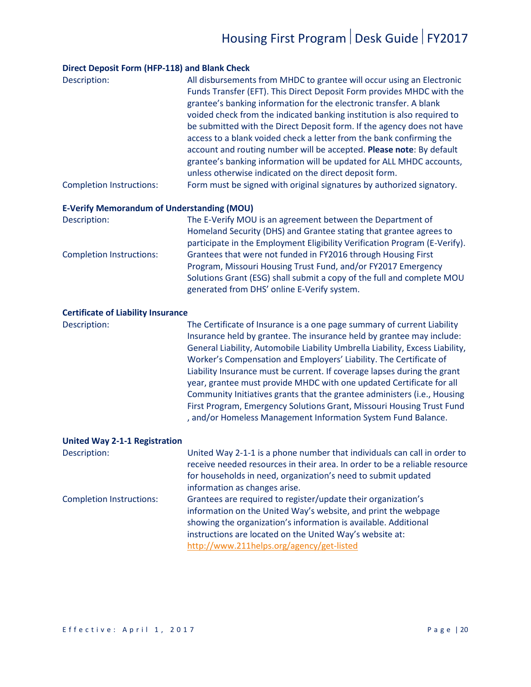#### **Direct Deposit Form (HFP-118) and Blank Check**

| Description:                    | All disbursements from MHDC to grantee will occur using an Electronic   |
|---------------------------------|-------------------------------------------------------------------------|
|                                 | Funds Transfer (EFT). This Direct Deposit Form provides MHDC with the   |
|                                 | grantee's banking information for the electronic transfer. A blank      |
|                                 | voided check from the indicated banking institution is also required to |
|                                 | be submitted with the Direct Deposit form. If the agency does not have  |
|                                 | access to a blank voided check a letter from the bank confirming the    |
|                                 | account and routing number will be accepted. Please note: By default    |
|                                 | grantee's banking information will be updated for ALL MHDC accounts,    |
|                                 | unless otherwise indicated on the direct deposit form.                  |
| <b>Completion Instructions:</b> | Form must be signed with original signatures by authorized signatory.   |

#### **E-Verify Memorandum of Understanding (MOU)**

| Description:                    | The E-Verify MOU is an agreement between the Department of                 |
|---------------------------------|----------------------------------------------------------------------------|
|                                 | Homeland Security (DHS) and Grantee stating that grantee agrees to         |
|                                 | participate in the Employment Eligibility Verification Program (E-Verify). |
| <b>Completion Instructions:</b> | Grantees that were not funded in FY2016 through Housing First              |
|                                 | Program, Missouri Housing Trust Fund, and/or FY2017 Emergency              |
|                                 | Solutions Grant (ESG) shall submit a copy of the full and complete MOU     |
|                                 | generated from DHS' online E-Verify system.                                |

#### **Certificate of Liability Insurance**

Description: The Certificate of Insurance is a one page summary of current Liability Insurance held by grantee. The insurance held by grantee may include: General Liability, Automobile Liability Umbrella Liability, Excess Liability, Worker's Compensation and Employers' Liability. The Certificate of Liability Insurance must be current. If coverage lapses during the grant year, grantee must provide MHDC with one updated Certificate for all Community Initiatives grants that the grantee administers (i.e., Housing First Program, Emergency Solutions Grant, Missouri Housing Trust Fund , and/or Homeless Management Information System Fund Balance.

#### **United Way 2-1-1 Registration**

| Description:                    | United Way 2-1-1 is a phone number that individuals can call in order to   |
|---------------------------------|----------------------------------------------------------------------------|
|                                 | receive needed resources in their area. In order to be a reliable resource |
|                                 | for households in need, organization's need to submit updated              |
|                                 | information as changes arise.                                              |
| <b>Completion Instructions:</b> | Grantees are required to register/update their organization's              |
|                                 | information on the United Way's website, and print the webpage             |
|                                 | showing the organization's information is available. Additional            |
|                                 | instructions are located on the United Way's website at:                   |
|                                 | http://www.211helps.org/agency/get-listed                                  |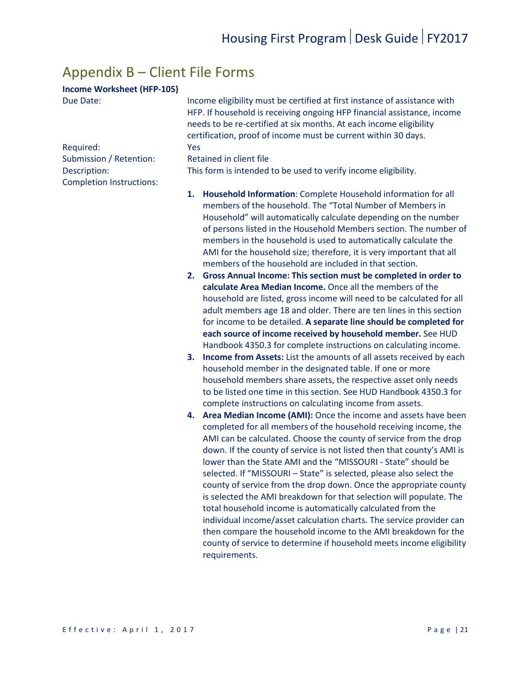### <span id="page-20-0"></span>Appendix B – Client File Forms

#### **Income Worksheet (HFP-105)**

Completion Instructions:

Due Date: Income eligibility must be certified at first instance of assistance with HFP. If household is receiving ongoing HFP financial assistance, income needs to be re-certified at six months. At each income eligibility certification, proof of income must be current within 30 days. Required: Yes

Submission / Retention: Retained in client file

Description: This form is intended to be used to verify income eligibility.

- **1. Household Information**: Complete Household information for all members of the household. The "Total Number of Members in Household" will automatically calculate depending on the number of persons listed in the Household Members section. The number of members in the household is used to automatically calculate the AMI for the household size; therefore, it is very important that all members of the household are included in that section.
- **2. Gross Annual Income: This section must be completed in order to calculate Area Median Income.** Once all the members of the household are listed, gross income will need to be calculated for all adult members age 18 and older. There are ten lines in this section for income to be detailed. **A separate line should be completed for each source of income received by household member.** See HUD Handbook 4350.3 for complete instructions on calculating income.
- **3. Income from Assets:** List the amounts of all assets received by each household member in the designated table. If one or more household members share assets, the respective asset only needs to be listed one time in this section. See HUD Handbook 4350.3 for complete instructions on calculating income from assets.
- **4. Area Median Income (AMI):** Once the income and assets have been completed for all members of the household receiving income, the AMI can be calculated. Choose the county of service from the drop down. If the county of service is not listed then that county's AMI is lower than the State AMI and the "MISSOURI - State" should be selected. If "MISSOURI – State" is selected, please also select the county of service from the drop down. Once the appropriate county is selected the AMI breakdown for that selection will populate. The total household income is automatically calculated from the individual income/asset calculation charts. The service provider can then compare the household income to the AMI breakdown for the county of service to determine if household meets income eligibility requirements.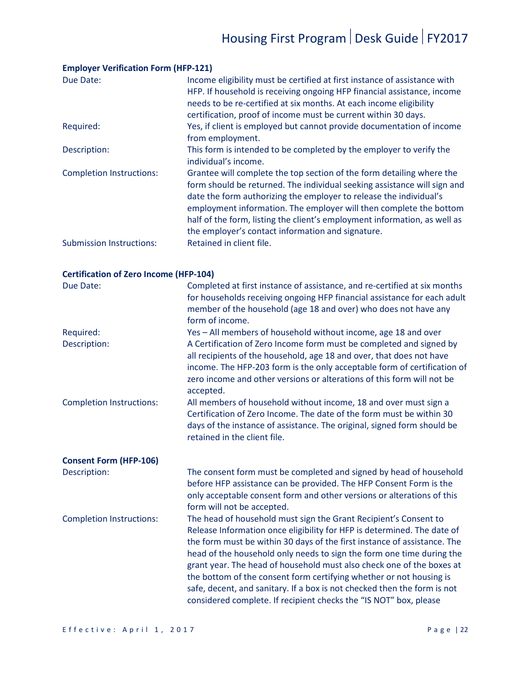| Due Date:                       | Income eligibility must be certified at first instance of assistance with<br>HFP. If household is receiving ongoing HFP financial assistance, income<br>needs to be re-certified at six months. At each income eligibility<br>certification, proof of income must be current within 30 days.                                                                                                                                    |
|---------------------------------|---------------------------------------------------------------------------------------------------------------------------------------------------------------------------------------------------------------------------------------------------------------------------------------------------------------------------------------------------------------------------------------------------------------------------------|
| Required:                       | Yes, if client is employed but cannot provide documentation of income<br>from employment.                                                                                                                                                                                                                                                                                                                                       |
| Description:                    | This form is intended to be completed by the employer to verify the<br>individual's income.                                                                                                                                                                                                                                                                                                                                     |
| <b>Completion Instructions:</b> | Grantee will complete the top section of the form detailing where the<br>form should be returned. The individual seeking assistance will sign and<br>date the form authorizing the employer to release the individual's<br>employment information. The employer will then complete the bottom<br>half of the form, listing the client's employment information, as well as<br>the employer's contact information and signature. |
| <b>Submission Instructions:</b> | Retained in client file.                                                                                                                                                                                                                                                                                                                                                                                                        |

#### **Employer Verification Form (HFP-121)**

| <b>Certification of Zero Income (HFP-104)</b> |                                                                                                                                                                                                                                                                                                                                                                                                                                                                                                                                                                                                   |  |
|-----------------------------------------------|---------------------------------------------------------------------------------------------------------------------------------------------------------------------------------------------------------------------------------------------------------------------------------------------------------------------------------------------------------------------------------------------------------------------------------------------------------------------------------------------------------------------------------------------------------------------------------------------------|--|
| Due Date:                                     | Completed at first instance of assistance, and re-certified at six months<br>for households receiving ongoing HFP financial assistance for each adult<br>member of the household (age 18 and over) who does not have any<br>form of income.                                                                                                                                                                                                                                                                                                                                                       |  |
| Required:                                     | Yes - All members of household without income, age 18 and over                                                                                                                                                                                                                                                                                                                                                                                                                                                                                                                                    |  |
| Description:                                  | A Certification of Zero Income form must be completed and signed by<br>all recipients of the household, age 18 and over, that does not have<br>income. The HFP-203 form is the only acceptable form of certification of<br>zero income and other versions or alterations of this form will not be<br>accepted.                                                                                                                                                                                                                                                                                    |  |
| <b>Completion Instructions:</b>               | All members of household without income, 18 and over must sign a<br>Certification of Zero Income. The date of the form must be within 30<br>days of the instance of assistance. The original, signed form should be<br>retained in the client file.                                                                                                                                                                                                                                                                                                                                               |  |
| <b>Consent Form (HFP-106)</b>                 |                                                                                                                                                                                                                                                                                                                                                                                                                                                                                                                                                                                                   |  |
| Description:                                  | The consent form must be completed and signed by head of household<br>before HFP assistance can be provided. The HFP Consent Form is the<br>only acceptable consent form and other versions or alterations of this<br>form will not be accepted.                                                                                                                                                                                                                                                                                                                                                  |  |
| <b>Completion Instructions:</b>               | The head of household must sign the Grant Recipient's Consent to<br>Release Information once eligibility for HFP is determined. The date of<br>the form must be within 30 days of the first instance of assistance. The<br>head of the household only needs to sign the form one time during the<br>grant year. The head of household must also check one of the boxes at<br>the bottom of the consent form certifying whether or not housing is<br>safe, decent, and sanitary. If a box is not checked then the form is not<br>considered complete. If recipient checks the "IS NOT" box, please |  |